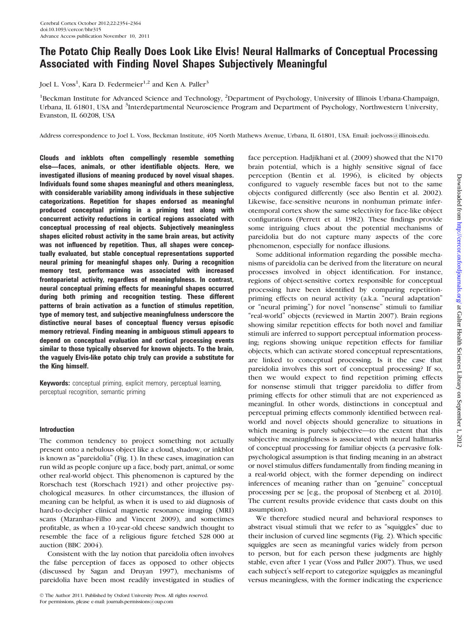# The Potato Chip Really Does Look Like Elvis! Neural Hallmarks of Conceptual Processing Associated with Finding Novel Shapes Subjectively Meaningful

Joel L. Voss<sup>1</sup>, Kara D. Federmeier<sup>1,2</sup> and Ken A. Paller<sup>3</sup>

<sup>1</sup>Beckman Institute for Advanced Science and Technology, <sup>2</sup>Department of Psychology, University of Illinois Urbana-Champaign, Urbana, IL 61801, USA and <sup>3</sup>Interdepartmental Neuroscience Program and Department of Psychology, Northwestern University, Evanston, IL 60208, USA

Address correspondence to Joel L. Voss, Beckman Institute, 405 North Mathews Avenue, Urbana, IL 61801, USA. Email: joelvoss@illinois.edu.

Clouds and inkblots often compellingly resemble something else—faces, animals, or other identifiable objects. Here, we investigated illusions of meaning produced by novel visual shapes. Individuals found some shapes meaningful and others meaningless, with considerable variability among individuals in these subjective categorizations. Repetition for shapes endorsed as meaningful produced conceptual priming in a priming test along with concurrent activity reductions in cortical regions associated with conceptual processing of real objects. Subjectively meaningless shapes elicited robust activity in the same brain areas, but activity was not influenced by repetition. Thus, all shapes were conceptually evaluated, but stable conceptual representations supported neural priming for meaningful shapes only. During a recognition memory test, performance was associated with increased frontoparietal activity, regardless of meaningfulness. In contrast, neural conceptual priming effects for meaningful shapes occurred during both priming and recognition testing. These different patterns of brain activation as a function of stimulus repetition, type of memory test, and subjective meaningfulness underscore the distinctive neural bases of conceptual fluency versus episodic memory retrieval. Finding meaning in ambiguous stimuli appears to depend on conceptual evaluation and cortical processing events similar to those typically observed for known objects. To the brain, the vaguely Elvis-like potato chip truly can provide a substitute for the King himself.

Keywords: conceptual priming, explicit memory, perceptual learning, perceptual recognition, semantic priming

# Introduction

The common tendency to project something not actually present onto a nebulous object like a cloud, shadow, or inkblot is known as "pareidolia" (Fig. 1). In these cases, imagination can run wild as people conjure up a face, body part, animal, or some other real-world object. This phenomenon is captured by the Rorschach test (Rorschach 1921) and other projective psychological measures. In other circumstances, the illusion of meaning can be helpful, as when it is used to aid diagnosis of hard-to-decipher clinical magnetic resonance imaging (MRI) scans (Maranhao-Filho and Vincent 2009), and sometimes profitable, as when a 10-year-old cheese sandwich thought to resemble the face of a religious figure fetched \$28 000 at auction (BBC 2004).

Consistent with the lay notion that pareidolia often involves the false perception of faces as opposed to other objects (discussed by Sagan and Druyan 1997), mechanisms of pareidolia have been most readily investigated in studies of

face perception. Hadjikhani et al. (2009) showed that the N170 brain potential, which is a highly sensitive signal of face perception (Bentin et al. 1996), is elicited by objects configured to vaguely resemble faces but not to the same objects configured differently (see also Bentin et al. 2002). Likewise, face-sensitive neurons in nonhuman primate inferotemporal cortex show the same selectivity for face-like object configurations (Perrett et al. 1982). These findings provide some intriguing clues about the potential mechanisms of pareidolia but do not capture many aspects of the core phenomenon, especially for nonface illusions.

Some additional information regarding the possible mechanisms of pareidolia can be derived from the literature on neural processes involved in object identification. For instance, regions of object-sensitive cortex responsible for conceptual processing have been identified by comparing repetitionpriming effects on neural activity (a.k.a. "neural adaptation" or ''neural priming'') for novel ''nonsense'' stimuli to familiar "real-world" objects (reviewed in Martin 2007). Brain regions showing similar repetition effects for both novel and familiar stimuli are inferred to support perceptual information processing; regions showing unique repetition effects for familiar objects, which can activate stored conceptual representations, are linked to conceptual processing. Is it the case that pareidolia involves this sort of conceptual processing? If so, then we would expect to find repetition priming effects for nonsense stimuli that trigger pareidolia to differ from priming effects for other stimuli that are not experienced as meaningful. In other words, distinctions in conceptual and perceptual priming effects commonly identified between realworld and novel objects should generalize to situations in which meaning is purely subjective—to the extent that this subjective meaningfulness is associated with neural hallmarks of conceptual processing for familiar objects (a pervasive folkpsychological assumption is that finding meaning in an abstract or novel stimulus differs fundamentally from finding meaning in a real-world object, with the former depending on indirect inferences of meaning rather than on ''genuine'' conceptual processing per se [e.g., the proposal of Stenberg et al. 2010]. The current results provide evidence that casts doubt on this assumption).

We therefore studied neural and behavioral responses to abstract visual stimuli that we refer to as ''squiggles'' due to their inclusion of curved line segments (Fig. 2). Which specific squiggles are seen as meaningful varies widely from person to person, but for each person these judgments are highly stable, even after 1 year (Voss and Paller 2007). Thus, we used each subject's self-report to categorize squiggles as meaningful versus meaningless, with the former indicating the experience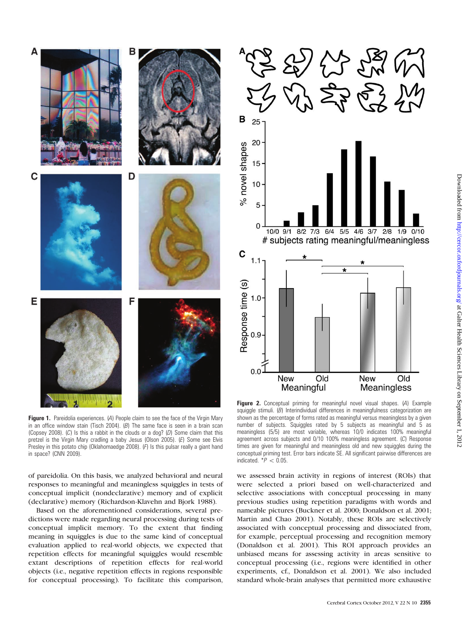

Figure 1. Pareidolia experiences. (A) People claim to see the face of the Virgin Mary in an office window stain (Tisch 2004).  $(B)$  The same face is seen in a brain scan (Copsey 2008). (C) Is this a rabbit in the clouds or a dog? (D) Some claim that this pretzel is the Virgin Mary cradling a baby Jesus (Olson 2005). (E) Some see Elvis Presley in this potato chip (Oklahomaedge 2008). (F) Is this pulsar really a giant hand in space? (CNN 2009).

of pareidolia. On this basis, we analyzed behavioral and neural responses to meaningful and meaningless squiggles in tests of conceptual implicit (nondeclarative) memory and of explicit (declarative) memory (Richardson-Klavehn and Bjork 1988).

Based on the aforementioned considerations, several predictions were made regarding neural processing during tests of conceptual implicit memory. To the extent that finding meaning in squiggles is due to the same kind of conceptual evaluation applied to real-world objects, we expected that repetition effects for meaningful squiggles would resemble extant descriptions of repetition effects for real-world objects (i.e., negative repetition effects in regions responsible for conceptual processing). To facilitate this comparison,



Downloaded from http://cercor.oxfordjournals.org/ at Galter Health Sciences Library on September 1, 2012 Downloaded from <http://cercor.oxfordjournals.org/> at Galter Health Sciences Library on September 1, 2012

Figure 2. Conceptual priming for meaningful novel visual shapes. (A) Example squiggle stimuli. (B) Interindividual differences in meaningfulness categorization are shown as the percentage of forms rated as meaningful versus meaningless by a given number of subjects. Squiggles rated by 5 subjects as meaningful and 5 as meaningless (5/5) are most variable, whereas 10/0 indicates 100% meaningful agreement across subjects and 0/10 100% meaningless agreement. (C) Response times are given for meaningful and meaningless old and new squiggles during the conceptual priming test. Error bars indicate SE. All significant pairwise differences are indicated.  $^{*}P < 0.05$ .

we assessed brain activity in regions of interest (ROIs) that were selected a priori based on well-characterized and selective associations with conceptual processing in many previous studies using repetition paradigms with words and nameable pictures (Buckner et al. 2000; Donaldson et al. 2001; Martin and Chao 2001). Notably, these ROIs are selectively associated with conceptual processing and dissociated from, for example, perceptual processing and recognition memory (Donaldson et al. 2001). This ROI approach provides an unbiased means for assessing activity in areas sensitive to conceptual processing (i.e., regions were identified in other experiments, cf., Donaldson et al. 2001). We also included standard whole-brain analyses that permitted more exhaustive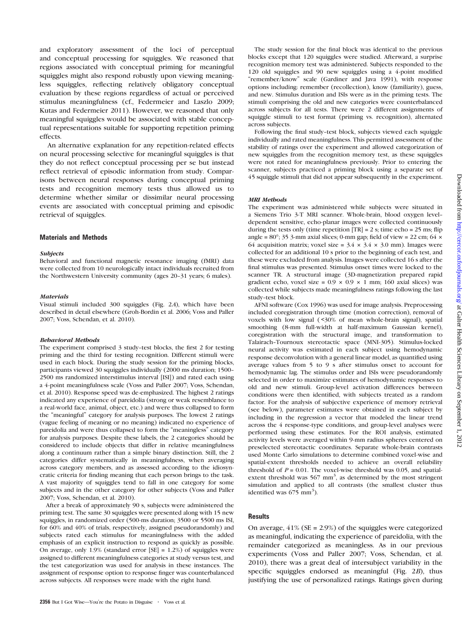and exploratory assessment of the loci of perceptual and conceptual processing for squiggles. We reasoned that regions associated with conceptual priming for meaningful squiggles might also respond robustly upon viewing meaningless squiggles, reflecting relatively obligatory conceptual evaluation by these regions regardless of actual or perceived stimulus meaningfulness (cf., Federmeier and Laszlo 2009; Kutas and Federmeier 2011). However, we reasoned that only meaningful squiggles would be associated with stable conceptual representations suitable for supporting repetition priming effects.

An alternative explanation for any repetition-related effects on neural processing selective for meaningful squiggles is that they do not reflect conceptual processing per se but instead reflect retrieval of episodic information from study. Comparisons between neural responses during conceptual priming tests and recognition memory tests thus allowed us to determine whether similar or dissimilar neural processing events are associated with conceptual priming and episodic retrieval of squiggles.

#### Materials and Methods

#### Subjects

Behavioral and functional magnetic resonance imaging (fMRI) data were collected from 10 neurologically intact individuals recruited from the Northwestern University community (ages 20-31 years; 6 males).

#### **Materials**

Visual stimuli included 300 squiggles (Fig. 2A), which have been described in detail elsewhere (Groh-Bordin et al. 2006; Voss and Paller 2007; Voss, Schendan, et al. 2010).

#### Behavioral Methods

The experiment comprised 3 study-test blocks, the first 2 for testing priming and the third for testing recognition. Different stimuli were used in each block. During the study session for the priming blocks, participants viewed 30 squiggles individually (2000 ms duration; 1500-2500 ms randomized interstimulus interval [ISI]) and rated each using a 4-point meaningfulness scale (Voss and Paller 2007; Voss, Schendan, et al. 2010). Response speed was de-emphasized. The highest 2 ratings indicated any experience of pareidolia (strong or weak resemblance to a real-world face, animal, object, etc.) and were thus collapsed to form the ''meaningful'' category for analysis purposes. The lowest 2 ratings (vague feeling of meaning or no meaning) indicated no experience of pareidolia and were thus collapsed to form the ''meaningless'' category for analysis purposes. Despite these labels, the 2 categories should be considered to include objects that differ in relative meaningfulness along a continuum rather than a simple binary distinction. Still, the 2 categories differ systematically in meaningfulness, when averaging across category members, and as assessed according to the idiosyncratic criteria for finding meaning that each person brings to the task. A vast majority of squiggles tend to fall in one category for some subjects and in the other category for other subjects (Voss and Paller 2007; Voss, Schendan, et al. 2010).

After a break of approximately 90 s, subjects were administered the priming test. The same 30 squiggles were presented along with 15 new squiggles, in randomized order (500-ms duration; 3500 or 5500 ms ISI, for 60% and 40% of trials, respectively, assigned pseudorandomly) and subjects rated each stimulus for meaningfulness with the added emphasis of an explicit instruction to respond as quickly as possible. On average, only  $1.9\%$  (standard error  $[SE] = 1.2\%)$  of squiggles were assigned to different meaningfulness categories at study versus test, and the test categorization was used for analysis in these instances. The assignment of response option to response finger was counterbalanced across subjects. All responses were made with the right hand.

The study session for the final block was identical to the previous blocks except that 120 squiggles were studied. Afterward, a surprise recognition memory test was administered. Subjects responded to the 120 old squiggles and 90 new squiggles using a 4-point modified "remember/know" scale (Gardiner and Java 1991), with response options including: remember (recollection), know (familiarity), guess, and new. Stimulus duration and ISIs were as in the priming tests. The stimuli comprising the old and new categories were counterbalanced across subjects for all tests. There were 2 different assignments of squiggle stimuli to test format (priming vs. recognition), alternated across subjects.

Following the final study-test block, subjects viewed each squiggle individually and rated meaningfulness. This permitted assessment of the stability of ratings over the experiment and allowed categorization of new squiggles from the recognition memory test, as these squiggles were not rated for meaningfulness previously. Prior to entering the scanner, subjects practiced a priming block using a separate set of 45 squiggle stimuli that did not appear subsequently in the experiment.

#### MRI Methods

The experiment was administered while subjects were situated in a Siemens Trio 3-T MRI scanner. Whole-brain, blood oxygen level- dependent sensitive, echo-planar images were collected continuously during the tests only (time repetition  $|TR| = 2$  s; time echo = 25 ms; flip angle =  $80^\circ$ ; 35 3-mm axial slices; 0-mm gap; field of view = 22 cm; 64  $\times$ 64 acquisition matrix; voxel size =  $3.4 \times 3.4 \times 3.0$  mm). Images were collected for an additional 10 s prior to the beginning of each test, and these were excluded from analysis. Images were collected 16 s after the final stimulus was presented. Stimulus onset times were locked to the scanner TR. A structural image (3D-magnetization prepared rapid gradient echo, voxel size =  $0.9 \times 0.9 \times 1$  mm; 160 axial slices) was collected while subjects made meaningfulness ratings following the last study-test block.

AFNI software (Cox 1996) was used for image analysis. Preprocessing included coregistration through time (motion correction), removal of voxels with low signal (<30% of mean whole-brain signal), spatial smoothing (8-mm full-width at half-maximum Gaussian kernel), coregistration with the structural image, and transformation to Talairach-Tournoux stereotactic space (MNI-305). Stimulus-locked neural activity was estimated in each subject using hemodynamic response deconvolution with a general linear model, as quantified using average values from 5 to 9 s after stimulus onset to account for hemodynamic lag. The stimulus order and ISIs were pseudorandomly selected in order to maximize estimates of hemodynamic responses to old and new stimuli. Group-level activation differences between conditions were then identified, with subjects treated as a random factor. For the analysis of subjective experience of memory retrieval (see below), parameter estimates were obtained in each subject by including in the regression a vector that modeled the linear trend across the 4 response-type conditions, and group-level analyses were performed using these estimates. For the ROI analysis, estimated activity levels were averaged within 9-mm radius spheres centered on preselected stereotactic coordinates. Separate whole-brain contrasts used Monte Carlo simulations to determine combined voxel-wise and spatial-extent thresholds needed to achieve an overall reliability threshold of  $P = 0.01$ . The voxel-wise threshold was 0.05, and spatialextent threshold was 567 mm<sup>3</sup>, as determined by the most stringent simulation and applied to all contrasts (the smallest cluster thus identified was  $675 \text{ mm}^3$ ).

## Results

On average,  $41\%$  (SE = 2.9%) of the squiggles were categorized as meaningful, indicating the experience of pareidolia, with the remainder categorized as meaningless. As in our previous experiments (Voss and Paller 2007; Voss, Schendan, et al. 2010), there was a great deal of intersubject variability in the specific squiggles endorsed as meaningful (Fig. 2B), thus justifying the use of personalized ratings. Ratings given during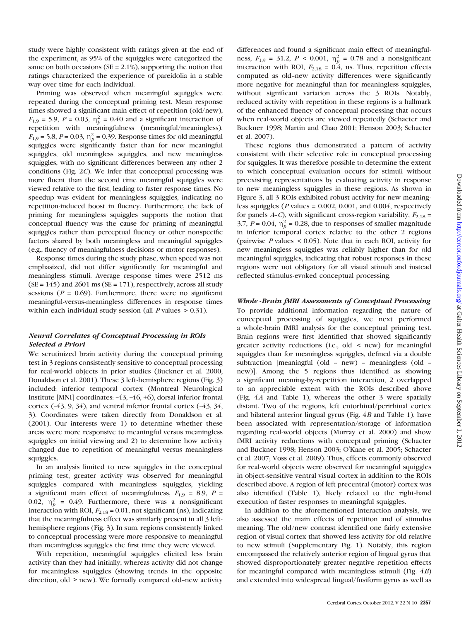study were highly consistent with ratings given at the end of the experiment, as 95% of the squiggles were categorized the same on both occasions ( $SE = 2.1\%$ ), supporting the notion that ratings characterized the experience of pareidolia in a stable way over time for each individual.

Priming was observed when meaningful squiggles were repeated during the conceptual priming test. Mean response times showed a significant main effect of repetition (old/new),  $F_{1,9} = 5.9, P = 0.03, \eta_p^2 = 0.40$  and a significant interaction of repetition with meaningfulness (meaningful/meaningless),  $F_{1,9} = 5.8, P = 0.03, \eta_p^2 = 0.39$ . Response times for old meaningful squiggles were significantly faster than for new meaningful squiggles, old meaningless squiggles, and new meaningless squiggles, with no significant differences between any other 2 conditions (Fig. 2C). We infer that conceptual processing was more fluent than the second time meaningful squiggles were viewed relative to the first, leading to faster response times. No speedup was evident for meaningless squiggles, indicating no repetition-induced boost in fluency. Furthermore, the lack of priming for meaningless squiggles supports the notion that conceptual fluency was the cause for priming of meaningful squiggles rather than perceptual fluency or other nonspecific factors shared by both meaningless and meaningful squiggles (e.g., fluency of meaningfulness decisions or motor responses).

Response times during the study phase, when speed was not emphasized, did not differ significantly for meaningful and meaningless stimuli. Average response times were 2512 ms  $(SE = 145)$  and 2601 ms  $(SE = 171)$ , respectively, across all study sessions ( $P = 0.69$ ). Furthermore, there were no significant meaningful-versus-meaningless differences in response times within each individual study session (all  $P$  values  $> 0.31$ ).

# Neural Correlates of Conceptual Processing in ROIs Selected a Priori

We scrutinized brain activity during the conceptual priming test in 3 regions consistently sensitive to conceptual processing for real-world objects in prior studies (Buckner et al. 2000; Donaldson et al. 2001). These 3 left-hemisphere regions (Fig. 3) included: inferior temporal cortex (Montreal Neurological Institute [MNI] coordinates: –43, –46, +6), dorsal inferior frontal cortex (–43, 9, 34), and ventral inferior frontal cortex (–43, 34, 3). Coordinates were taken directly from Donaldson et al. (2001). Our interests were 1) to determine whether these areas were more responsive to meaningful versus meaningless squiggles on initial viewing and 2) to determine how activity changed due to repetition of meaningful versus meaningless squiggles.

In an analysis limited to new squiggles in the conceptual priming test, greater activity was observed for meaningful squiggles compared with meaningless squiggles, yielding a significant main effect of meaningfulness,  $F_{1,9} = 8.9$ ,  $P =$ 0.02,  $\eta_p^2 = 0.49$ . Furthermore, there was a nonsignificant interaction with ROI,  $F_{2,18} = 0.01$ , not significant (ns), indicating that the meaningfulness effect was similarly present in all 3 lefthemisphere regions (Fig. 3). In sum, regions consistently linked to conceptual processing were more responsive to meaningful than meaningless squiggles the first time they were viewed.

With repetition, meaningful squiggles elicited less brain activity than they had initially, whereas activity did not change for meaningless squiggles (showing trends in the opposite direction, old > new). We formally compared old-new activity differences and found a significant main effect of meaningfulness,  $F_{1,9} = 31.2$ ,  $P \le 0.001$ ,  $\eta_p^2 = 0.78$  and a nonsignificant interaction with ROI,  $F_{2,18} = 0.4$ , ns. Thus, repetition effects computed as old--new activity differences were significantly more negative for meaningful than for meaningless squiggles, without significant variation across the 3 ROIs. Notably, reduced activity with repetition in these regions is a hallmark of the enhanced fluency of conceptual processing that occurs when real-world objects are viewed repeatedly (Schacter and Buckner 1998; Martin and Chao 2001; Henson 2003; Schacter et al. 2007).

These regions thus demonstrated a pattern of activity consistent with their selective role in conceptual processing for squiggles. It was therefore possible to determine the extent to which conceptual evaluation occurs for stimuli without preexisting representations by evaluating activity in response to new meaningless squiggles in these regions. As shown in Figure 3, all 3 ROIs exhibited robust activity for new meaningless squiggles ( $P$  values = 0.002, 0.001, and 0.004, respectively for panels  $A-C$ ), with significant cross-region variability,  $F_{2,18}$  = 3.7,  $P = 0.04$ ,  $\eta_p^2 = 0.28$ , due to responses of smaller magnitude in inferior temporal cortex relative to the other 2 regions (pairwise P values < 0.05). Note that in each ROI, activity for new meaningless squiggles was reliably higher than for old meaningful squiggles, indicating that robust responses in these regions were not obligatory for all visual stimuli and instead reflected stimulus-evoked conceptual processing.

# Whole -Brain fMRI Assessments of Conceptual Processing

To provide additional information regarding the nature of conceptual processing of squiggles, we next performed a whole-brain fMRI analysis for the conceptual priming test. Brain regions were first identified that showed significantly greater activity reductions (i.e., old < new) for meaningful squiggles than for meaningless squiggles, defined via a double subtraction [meaningful (old - new) - meaningless (old new)]. Among the 5 regions thus identified as showing a significant meaning-by-repetition interaction, 2 overlapped to an appreciable extent with the ROIs described above (Fig. 4A and Table 1), whereas the other 3 were spatially distant. Two of the regions, left entorhinal/perirhinal cortex and bilateral anterior lingual gyrus (Fig. 4B and Table 1), have been associated with representation/storage of information regarding real-world objects (Murray et al. 2000) and show fMRI activity reductions with conceptual priming (Schacter and Buckner 1998; Henson 2003; O'Kane et al. 2005; Schacter et al. 2007; Voss et al. 2009). Thus, effects commonly observed for real-world objects were observed for meaningful squiggles in object-sensitive ventral visual cortex in addition to the ROIs described above. A region of left precentral (motor) cortex was also identified (Table 1), likely related to the right-hand execution of faster responses to meaningful squiggles.

In addition to the aforementioned interaction analysis, we also assessed the main effects of repetition and of stimulus meaning. The old/new contrast identified one fairly extensive region of visual cortex that showed less activity for old relative to new stimuli ([Supplementary Fig. 1](http://cercor.oxfordjournals.org/lookup/suppl/doi:10.1093/cercor/bhr315/-/DC1)). Notably, this region encompassed the relatively anterior region of lingual gyrus that showed disproportionately greater negative repetition effects for meaningful compared with meaningless stimuli (Fig. 4B) and extended into widespread lingual/fusiform gyrus as well as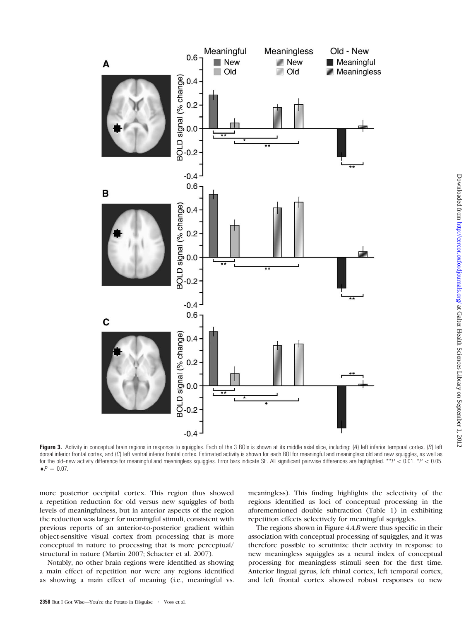

Downloaded from http://cercor.oxfordjournals.org/ at Galter Health Sciences Library on September 1, 2012 Downloaded from <http://cercor.oxfordjournals.org/> at Galter Health Sciences Library on September 1, 2012

Figure 3. Activity in conceptual brain regions in response to squiggles. Each of the 3 ROIs is shown at its middle axial slice, including:  $(A)$  left inferior temporal cortex,  $(B)$  left dorsal inferior frontal cortex, and (C) left ventral inferior frontal cortex. Estimated activity is shown for each ROI for meaningful and meaningless old and new squiggles, as well as for the old-new activity difference for meaningful and meaningless squiggles. Error bars indicate SE. All significant pairwise differences are highlighted. \*\* $P < 0.01$ . \* $P < 0.05$ .  $\bullet P = 0.07$ .

more posterior occipital cortex. This region thus showed a repetition reduction for old versus new squiggles of both levels of meaningfulness, but in anterior aspects of the region the reduction was larger for meaningful stimuli, consistent with previous reports of an anterior-to-posterior gradient within object-sensitive visual cortex from processing that is more conceptual in nature to processing that is more perceptual/ structural in nature (Martin 2007; Schacter et al. 2007).

Notably, no other brain regions were identified as showing a main effect of repetition nor were any regions identified as showing a main effect of meaning (i.e., meaningful vs. meaningless). This finding highlights the selectivity of the regions identified as loci of conceptual processing in the aforementioned double subtraction (Table 1) in exhibiting repetition effects selectively for meaningful squiggles.

The regions shown in Figure  $4A$ , B were thus specific in their association with conceptual processing of squiggles, and it was therefore possible to scrutinize their activity in response to new meaningless squiggles as a neural index of conceptual processing for meaningless stimuli seen for the first time. Anterior lingual gyrus, left rhinal cortex, left temporal cortex, and left frontal cortex showed robust responses to new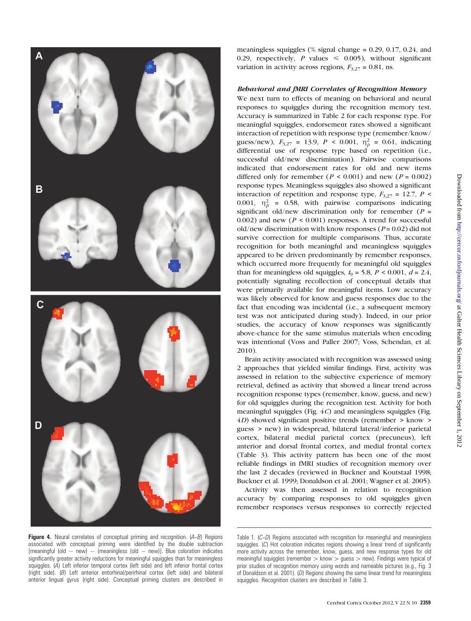

**Figure 4.** Neural correlates of conceptual priming and recognition.  $(A-B)$  Regions associated with conceptual priming were identified by the double subtraction  $[meaningful (old - new) - (meaningless (old - new)].$  Blue coloration indicates significantly greater activity reductions for meaningful squiggles than for meaningless squiggles. (A) Left inferior temporal cortex (left side) and left inferior frontal cortex (right side). (B) Left anterior entorhinal/perirhinal cortex (left side) and bilateral anterior lingual gyrus (right side). Conceptual priming clusters are described in

meaningless squiggles (% signal change = 0.29, 0.17, 0.24, and 0.29, respectively, P values  $\leq$  0.005), without significant variation in activity across regions,  $F_{3,27} = 0.81$ , ns.

## Behavioral and fMRI Correlates of Recognition Memory

We next turn to effects of meaning on behavioral and neural responses to squiggles during the recognition memory test. Accuracy is summarized in Table 2 for each response type. For meaningful squiggles, endorsement rates showed a significant interaction of repetition with response type (remember/know/ guess/new),  $F_{3,27} = 13.9$ ,  $P < 0.001$ ,  $\eta_p^2 = 0.61$ , indicating differential use of response type based on repetition (i.e., successful old/new discrimination). Pairwise comparisons indicated that endorsement rates for old and new items differed only for remember ( $P < 0.001$ ) and new ( $P = 0.002$ ) response types. Meaningless squiggles also showed a significant interaction of repetition and response type,  $F_{3,27} = 12.7$ ,  $P \leq$ 0.001,  $\eta_p^2$  = 0.58, with pairwise comparisons indicating significant old/new discrimination only for remember ( $P =$ 0.002) and new ( $P \le 0.001$ ) responses. A trend for successful old/new discrimination with know responses ( $P = 0.02$ ) did not survive correction for multiple comparisons. Thus, accurate recognition for both meaningful and meaningless squiggles appeared to be driven predominantly by remember responses, which occurred more frequently for meaningful old squiggles than for meaningless old squiggles,  $t_9 = 5.8$ ,  $P < 0.001$ ,  $d = 2.4$ , potentially signaling recollection of conceptual details that were primarily available for meaningful items. Low accuracy was likely observed for know and guess responses due to the fact that encoding was incidental (i.e., a subsequent memory test was not anticipated during study). Indeed, in our prior studies, the accuracy of know responses was significantly above-chance for the same stimulus materials when encoding was intentional (Voss and Paller 2007; Voss, Schendan, et al. 2010).

Brain activity associated with recognition was assessed using 2 approaches that yielded similar findings. First, activity was assessed in relation to the subjective experience of memory retrieval, defined as activity that showed a linear trend across recognition response types (remember, know, guess, and new) for old squiggles during the recognition test. Activity for both meaningful squiggles (Fig.  $4C$ ) and meaningless squiggles (Fig. 4D) showed significant positive trends (remember > know > guess > new) in widespread, bilateral lateral/inferior parietal cortex, bilateral medial parietal cortex (precuneus), left anterior and dorsal frontal cortex, and medial frontal cortex (Table 3). This activity pattern has been one of the most reliable findings in fMRI studies of recognition memory over the last 2 decades (reviewed in Buckner and Koutstaal 1998; Buckner et al. 1999; Donaldson et al. 2001; Wagner et al. 2005).

Activity was then assessed in relation to recognition accuracy by comparing responses to old squiggles given remember responses versus responses to correctly rejected

Table 1.  $(C-D)$  Regions associated with recognition for meaningful and meaningless squiggles. (C) Hot coloration indicates regions showing a linear trend of significantly more activity across the remember, know, guess, and new response types for old meaningful squiggles (remember  $>$  know  $>$  guess  $>$  new). Findings were typical of prior studies of recognition memory using words and nameable pictures (e.g., Fig. 3 of Donaldson et al. 2001). (D) Regions showing the same linear trend for meaningless squiggles. Recognition clusters are described in Table 3.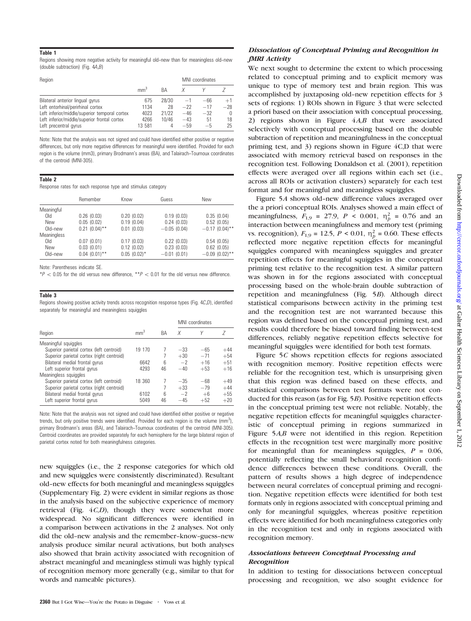## Table 1

Regions showing more negative activity for meaningful old-new than for meaningless old-new (double subtraction) (Fig. 4A,B)

| Region                                                                             |                 |             | MNI coordinates |                |               |
|------------------------------------------------------------------------------------|-----------------|-------------|-----------------|----------------|---------------|
|                                                                                    | mm <sup>3</sup> | RА          |                 |                |               |
| Bilateral anterior lingual gyrus                                                   | 675             | 28/30<br>28 | $-1$<br>$-22$   | $-66$<br>$-17$ | $+1$<br>$-28$ |
| Left entorhinal/perirhinal cortex<br>Left inferior/middle/superior temporal cortex | 1134<br>4023    | 21/22       | $-46$           | $-32$          | $\Omega$      |
| Left inferior/middle/superior frontal cortex<br>Left precentral gyrus              | 4266<br>13 581  | 10/46<br>4  | $-43$<br>$-59$  | 51<br>$-5$     | 18<br>25      |

Note: Note that the analysis was not signed and could have identified either positive or negative differences, but only more negative differences for meaningful were identified. Provided for each region is the volume (mm3), primary Brodmann's areas (BA), and Talairach--Tournoux coordinates of the centroid (MNI-305).

#### Table 2

Response rates for each response type and stimulus category

|             | Remember           | Know              | Guess           | New              |
|-------------|--------------------|-------------------|-----------------|------------------|
| Meaningful  |                    |                   |                 |                  |
| <b>Old</b>  | 0.26(0.03)         | 0.20(0.02)        | 0.19(0.03)      | 0.35(0.04)       |
| New         | 0.05(0.02)         | 0.19(0.04)        | 0.24(0.03)      | 0.52(0.05)       |
| Old-new     | $0.21$ $(0.04)$ ** | $0.01$ $(0.03)$   | $-0.05(0.04)$   | $-0.17(0.04)$ ** |
| Meaningless |                    |                   |                 |                  |
| <b>bld</b>  | 0.07(0.01)         | 0.17(0.03)        | $0.22$ $(0.03)$ | 0.54(0.05)       |
| New         | 0.03(0.01)         | $0.12$ (0.02)     | $0.23$ $(0.03)$ | $0.62$ (0.05)    |
| Old-new     | $0.04$ $(0.01)$ ** | $0.05$ $(0.02)$ * | $-0.01$ (0.01)  | $-0.09(0.02)$ ** |

Note: Parentheses indicate SE.

\*P  $<$  0.05 for the old versus new difference, \*\*P  $<$  0.01 for the old versus new difference.

#### Table 3

Regions showing positive activity trends across recognition response types (Fig. 4C,D), identified separately for meaningful and meaningless squiggles

|                                           | mm <sup>3</sup> | <b>BA</b> | MNI coordinates |       |       |
|-------------------------------------------|-----------------|-----------|-----------------|-------|-------|
| Region                                    |                 |           | Х               | γ     |       |
| Meaningful squiggles                      |                 |           |                 |       |       |
| Superior parietal cortex (left centroid)  | 19 170          |           | $-33$           | $-65$ | $+44$ |
| Superior parietal cortex (right centroid) |                 | 7         | $+30$           | $-71$ | $+54$ |
| Bilateral medial frontal gyrus            | 6642            | 6         | $-2$            | $+16$ | $+51$ |
| Left superior frontal gyrus               | 4293            | 46        | $-40$           | $+53$ | $+16$ |
| Meaningless squiggles                     |                 |           |                 |       |       |
| Superior parietal cortex (left centroid)  | 18 360          |           | $-35$           | $-68$ | $+49$ |
| Superior parietal cortex (right centroid) |                 | 7         | $+33$           | $-79$ | $+44$ |
| Bilateral medial frontal gyrus            | 6102            | 6         | $-2$            | $+6$  | $+55$ |
| Left superior frontal gyrus               | 5049            | 46        | $-45$           | $+52$ | $+20$ |

Note: Note that the analysis was not signed and could have identified either positive or negative trends, but only positive trends were identified. Provided for each region is the volume (mm<sup>3</sup>), primary Brodmann's areas (BA), and Talairach--Tournoux coordinates of the centroid (MNI-305). Centroid coordinates are provided separately for each hemisphere for the large bilateral region of parietal cortex noted for both meaningfulness categories.

new squiggles (i.e., the 2 response categories for which old and new squiggles were consistently discriminated). Resultant old--new effects for both meaningful and meaningless squiggles ([Supplementary Fig. 2\)](http://cercor.oxfordjournals.org/lookup/suppl/doi:10.1093/cercor/bhr315/-/DC1) were evident in similar regions as those in the analysis based on the subjective experience of memory retrieval (Fig. 4C,D), though they were somewhat more widespread. No significant differences were identified in a comparison between activations in the 2 analyses. Not only did the old-new analysis and the remember-know-guess-new analysis produce similar neural activations, but both analyses also showed that brain activity associated with recognition of abstract meaningful and meaningless stimuli was highly typical of recognition memory more generally (e.g., similar to that for words and nameable pictures).

# Dissociation of Conceptual Priming and Recognition in fMRI Activity

We next sought to determine the extent to which processing related to conceptual priming and to explicit memory was unique to type of memory test and brain region. This was accomplished by juxtaposing old-new repetition effects for 3 sets of regions: 1) ROIs shown in Figure 3 that were selected a priori based on their association with conceptual processing, 2) regions shown in Figure 4A,B that were associated selectively with conceptual processing based on the double subtraction of repetition and meaningfulness in the conceptual priming test, and 3) regions shown in Figure 4C,D that were associated with memory retrieval based on responses in the recognition test. Following Donaldson et al. (2001), repetition effects were averaged over all regions within each set (i.e., across all ROIs or activation clusters) separately for each test format and for meaningful and meaningless squiggles.

Figure 5A shows old-new difference values averaged over the a priori conceptual ROIs. Analyses showed a main effect of meaningfulness,  $F_{1,9} = 27.9$ ,  $P \le 0.001$ ,  $\eta_p^2 = 0.76$  and an interaction between meaningfulness and memory test (priming vs. recognition),  $F_{1,9} = 12.5$ ,  $P \le 0.01$ ,  $\eta_p^2 = 0.60$ . These effects reflected more negative repetition effects for meaningful squiggles compared with meaningless squiggles and greater repetition effects for meaningful squiggles in the conceptual priming test relative to the recognition test. A similar pattern was shown in for the regions associated with conceptual processing based on the whole-brain double subtraction of repetition and meaningfulness (Fig. 5B). Although direct statistical comparisons between activity in the priming test and the recognition test are not warranted because this region was defined based on the conceptual priming test, and results could therefore be biased toward finding between-test differences, reliably negative repetition effects selective for meaningful squiggles were identified for both test formats.

Figure 5C shows repetition effects for regions associated with recognition memory. Positive repetition effects were reliable for the recognition test, which is unsurprising given that this region was defined based on these effects, and statistical comparisons between test formats were not conducted for this reason (as for Fig. 5B). Positive repetition effects in the conceptual priming test were not reliable. Notably, the negative repetition effects for meaningful squiggles characteristic of conceptual priming in regions summarized in Figure 5A,B were not identified in this region. Repetition effects in the recognition test were marginally more positive for meaningful than for meaningless squiggles,  $P = 0.06$ , potentially reflecting the small behavioral recognition confidence differences between these conditions. Overall, the pattern of results shows a high degree of independence between neural correlates of conceptual priming and recognition. Negative repetition effects were identified for both test formats only in regions associated with conceptual priming and only for meaningful squiggles, whereas positive repetition effects were identified for both meaningfulness categories only in the recognition test and only in regions associated with recognition memory.

# Associations between Conceptual Processing and Recognition

In addition to testing for dissociations between conceptual processing and recognition, we also sought evidence for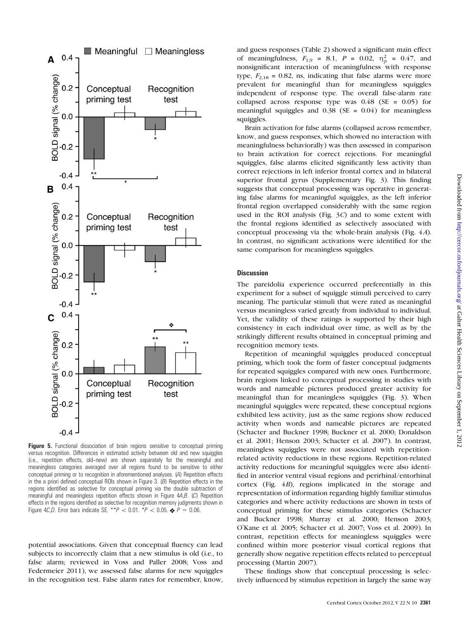

Figure 5. Functional dissociation of brain regions sensitive to conceptual priming versus recognition. Differences in estimated activity between old and new squiggles (i.e., repetition effects, old--new) are shown separately for the meaningful and meaningless categories averaged over all regions found to be sensitive to either conceptual priming or to recognition in aforementioned analyses. (A) Repetition effects in the a priori defined conceptual ROIs shown in Figure 3.  $(B)$  Repetition effects in the regions identified as selective for conceptual priming via the double subtraction of meaningful and meaningless repetition effects shown in Figure 4A,B. (C) Repetition effects in the regions identified as selective for recognition memory judgments shown in Figure 4C,D. Error bars indicate SE. \*\* P < 0.01. \* P < 0.05.  $\clubsuit$  P = 0.06.

potential associations. Given that conceptual fluency can lead subjects to incorrectly claim that a new stimulus is old (i.e., to false alarm; reviewed in Voss and Paller 2008; Voss and Federmeier 2011), we assessed false alarms for new squiggles in the recognition test. False alarm rates for remember, know,

and guess responses (Table 2) showed a significant main effect of meaningfulness,  $F_{1,9} = 8.1$ ,  $P = 0.02$ ,  $\eta_p^2 = 0.47$ , and nonsignificant interaction of meaningfulness with response type,  $F_{2,18} = 0.82$ , ns, indicating that false alarms were more prevalent for meaningful than for meaningless squiggles independent of response type. The overall false-alarm rate collapsed across response type was 0.48 (SE = 0.05) for meaningful squiggles and  $0.38$  (SE =  $0.04$ ) for meaningless squiggles.

Brain activation for false alarms (collapsed across remember, know, and guess responses, which showed no interaction with meaningfulness behaviorally) was then assessed in comparison to brain activation for correct rejections. For meaningful squiggles, false alarms elicited significantly less activity than correct rejections in left inferior frontal cortex and in bilateral superior frontal gyrus [\(Supplementary Fig. 3](http://cercor.oxfordjournals.org/lookup/suppl/doi:10.1093/cercor/bhr315/-/DC1)). This finding suggests that conceptual processing was operative in generating false alarms for meaningful squiggles, as the left inferior frontal region overlapped considerably with the same region used in the ROI analysis (Fig. 3C) and to some extent with the frontal regions identified as selectively associated with conceptual processing via the whole-brain analysis (Fig. 4A). In contrast, no significant activations were identified for the same comparison for meaningless squiggles.

## **Discussion**

The pareidolia experience occurred preferentially in this experiment for a subset of squiggle stimuli perceived to carry meaning. The particular stimuli that were rated as meaningful versus meaningless varied greatly from individual to individual. Yet, the validity of these ratings is supported by their high consistency in each individual over time, as well as by the strikingly different results obtained in conceptual priming and recognition memory tests.

Repetition of meaningful squiggles produced conceptual priming, which took the form of faster conceptual judgments for repeated squiggles compared with new ones. Furthermore, brain regions linked to conceptual processing in studies with words and nameable pictures produced greater activity for meaningful than for meaningless squiggles (Fig. 3). When meaningful squiggles were repeated, these conceptual regions exhibited less activity, just as the same regions show reduced activity when words and nameable pictures are repeated (Schacter and Buckner 1998; Buckner et al. 2000; Donaldson et al. 2001; Henson 2003; Schacter et al. 2007). In contrast, meaningless squiggles were not associated with repetitionrelated activity reductions in these regions. Repetition-related activity reductions for meaningful squiggles were also identified in anterior ventral visual regions and perirhinal/entorhinal cortex (Fig. 4B), regions implicated in the storage and representation of information regarding highly familiar stimulus categories and where activity reductions are shown in tests of conceptual priming for these stimulus categories (Schacter and Buckner 1998; Murray et al. 2000; Henson 2003; O'Kane et al. 2005; Schacter et al. 2007; Voss et al. 2009). In contrast, repetition effects for meaningless squiggles were confined within more posterior visual cortical regions that generally show negative repetition effects related to perceptual processing (Martin 2007).

These findings show that conceptual processing is selectively influenced by stimulus repetition in largely the same way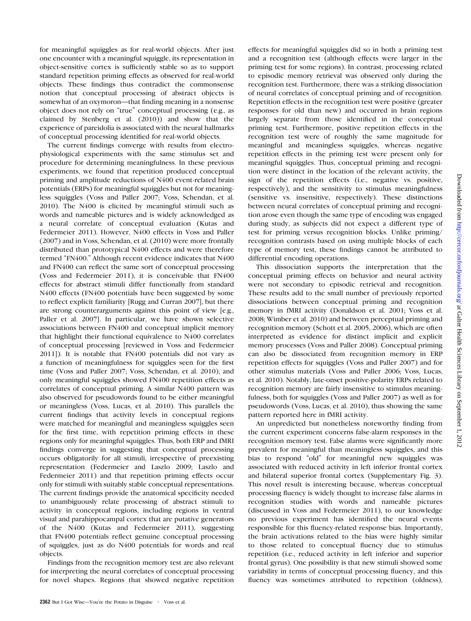for meaningful squiggles as for real-world objects. After just one encounter with a meaningful squiggle, its representation in object-sensitive cortex is sufficiently stable so as to support standard repetition priming effects as observed for real-world objects. These findings thus contradict the commonsense notion that conceptual processing of abstract objects is somewhat of an oxymoron—that finding meaning in a nonsense object does not rely on ''true'' conceptual processing (e.g., as claimed by Stenberg et al. (2010)) and show that the experience of pareidolia is associated with the neural hallmarks of conceptual processing identified for real-world objects.

The current findings converge with results from electrophysiological experiments with the same stimulus set and procedure for determining meaningfulness. In these previous experiments, we found that repetition produced conceptual priming and amplitude reductions of N400 event-related brain potentials (ERPs) for meaningful squiggles but not for meaningless squiggles (Voss and Paller 2007; Voss, Schendan, et al. 2010). The N400 is elicited by meaningful stimuli such as words and nameable pictures and is widely acknowledged as a neural correlate of conceptual evaluation (Kutas and Federmeier 2011). However, N400 effects in Voss and Paller (2007) and in Voss, Schendan, et al. (2010) were more frontally distributed than prototypical N400 effects and were therefore termed "FN400." Although recent evidence indicates that N400 and FN400 can reflect the same sort of conceptual processing (Voss and Federmeier 2011), it is conceivable that FN400 effects for abstract stimuli differ functionally from standard N400 effects (FN400 potentials have been suggested by some to reflect explicit familiarity [Rugg and Curran 2007], but there are strong counterarguments against this point of view [e.g., Paller et al. 2007]. In particular, we have shown selective associations between FN400 and conceptual implicit memory that highlight their functional equivalence to N400 correlates of conceptual processing [reviewed in Voss and Federmeier 2011]). It is notable that FN400 potentials did not vary as a function of meaningfulness for squiggles seen for the first time (Voss and Paller 2007; Voss, Schendan, et al. 2010), and only meaningful squiggles showed FN400 repetition effects as correlates of conceptual priming. A similar N400 pattern was also observed for pseudowords found to be either meaningful or meaningless (Voss, Lucas, et al. 2010). This parallels the current findings that activity levels in conceptual regions were matched for meaningful and meaningless squiggles seen for the first time, with repetition priming effects in these regions only for meaningful squiggles. Thus, both ERP and fMRI findings converge in suggesting that conceptual processing occurs obligatorily for all stimuli, irrespective of preexisting representation (Federmeier and Laszlo 2009; Laszlo and Federmeier 2011) and that repetition priming effects occur only for stimuli with suitably stable conceptual representations. The current findings provide the anatomical specificity needed to unambiguously relate processing of abstract stimuli to activity in conceptual regions, including regions in ventral visual and parahippocampal cortex that are putative generators of the N400 (Kutas and Federmeier 2011), suggesting that FN400 potentials reflect genuine conceptual processing of squiggles, just as do N400 potentials for words and real objects.

Findings from the recognition memory test are also relevant for interpreting the neural correlates of conceptual processing for novel shapes. Regions that showed negative repetition effects for meaningful squiggles did so in both a priming test and a recognition test (although effects were larger in the priming test for some regions). In contrast, processing related to episodic memory retrieval was observed only during the recognition test. Furthermore, there was a striking dissociation of neural correlates of conceptual priming and of recognition. Repetition effects in the recognition test were positive (greater responses for old than new) and occurred in brain regions largely separate from those identified in the conceptual priming test. Furthermore, positive repetition effects in the recognition test were of roughly the same magnitude for meaningful and meaningless squiggles, whereas negative repetition effects in the priming test were present only for meaningful squiggles. Thus, conceptual priming and recognition were distinct in the location of the relevant activity, the sign of the repetition effects (i.e., negative vs. positive, respectively), and the sensitivity to stimulus meaningfulness (sensitive vs. insensitive, respectively). These distinctions between neural correlates of conceptual priming and recognition arose even though the same type of encoding was engaged during study, as subjects did not expect a different type of test for priming versus recognition blocks. Unlike priming/ recognition contrasts based on using multiple blocks of each type of memory test, these findings cannot be attributed to differential encoding operations.

This dissociation supports the interpretation that the conceptual priming effects on behavior and neural activity were not secondary to episodic retrieval and recognition. These results add to the small number of previously reported dissociations between conceptual priming and recognition memory in fMRI activity (Donaldson et al. 2001; Voss et al. 2008; Wimber et al. 2010) and between perceptual priming and recognition memory (Schott et al. 2005, 2006), which are often interpreted as evidence for distinct implicit and explicit memory processes (Voss and Paller 2008). Conceptual priming can also be dissociated from recognition memory in ERP repetition effects for squiggles (Voss and Paller 2007) and for other stimulus materials (Voss and Paller 2006; Voss, Lucas, et al. 2010). Notably, late-onset positive-polarity ERPs related to recognition memory are fairly insensitive to stimulus meaningfulness, both for squiggles (Voss and Paller 2007) as well as for pseudowords (Voss, Lucas, et al. 2010), thus showing the same pattern reported here in fMRI activity.

An unpredicted but nonetheless noteworthy finding from the current experiment concerns false-alarm responses in the recognition memory test. False alarms were significantly more prevalent for meaningful than meaningless squiggles, and this bias to respond ''old'' for meaningful new squiggles was associated with reduced activity in left inferior frontal cortex and bilateral superior frontal cortex ([Supplementary Fig. 3\)](http://cercor.oxfordjournals.org/lookup/suppl/doi:10.1093/cercor/bhr315/-/DC1). This novel result is interesting because, whereas conceptual processing fluency is widely thought to increase false alarms in recognition studies with words and nameable pictures (discussed in Voss and Federmeier 2011), to our knowledge no previous experiment has identified the neural events responsible for this fluency-related response bias. Importantly, the brain activations related to the bias were highly similar to those related to conceptual fluency due to stimulus repetition (i.e., reduced activity in left inferior and superior frontal gyrus). One possibility is that new stimuli showed some variability in terms of conceptual processing fluency, and this fluency was sometimes attributed to repetition (oldness),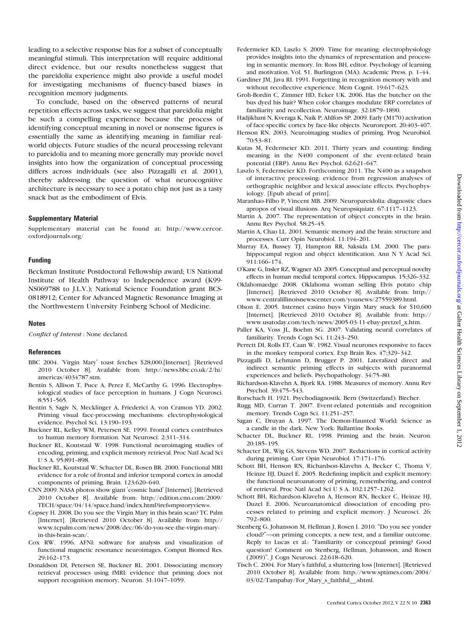Downloaded from http://cercor.oxfordjournals.org/ at Galter Health Sciences Library on September 1, 2012 Downloaded from <http://cercor.oxfordjournals.org/> at Galter Health Sciences Library on September 1, 2012

leading to a selective response bias for a subset of conceptually meaningful stimuli. This interpretation will require additional direct evidence, but our results nonetheless suggest that the pareidolia experience might also provide a useful model for investigating mechanisms of fluency-based biases in recognition memory judgments.

To conclude, based on the observed patterns of neural repetition effects across tasks, we suggest that pareidolia might be such a compelling experience because the process of identifying conceptual meaning in novel or nonsense figures is essentially the same as identifying meaning in familiar realworld objects. Future studies of the neural processing relevant to pareidolia and to meaning more generally may provide novel insights into how the organization of conceptual processing differs across individuals (see also Pizzagalli et al. 2001), thereby addressing the question of what neurocognitive architecture is necessary to see a potato chip not just as a tasty snack but as the embodiment of Elvis.

## Supplementary Material

[Supplementary material](http://cercor.oxfordjournals.org/lookup/suppl/doi:10.1093/cercor/bhr315/-/DC1) can be found at: http://www.cercor. oxfordjournals.org/

#### Funding

Beckman Institute Postdoctoral Fellowship award; US National Institute of Health Pathway to Independence award (K99- NS069788 to J.L.V.); National Science Foundation grant BCS-0818912; Center for Advanced Magnetic Resonance Imaging at the Northwestern University Feinberg School of Medicine.

## **Notes**

Conflict of Interest : None declared.

## **References**

- BBC 2004. 'Virgin Mary' toast fetches \$28,000.[Internet]. [Retrieved 2010 October 8]. Available from: http://news.bbc.co.uk/2/hi/ americas/4034787.stm.
- Bentin S, Allison T, Puce A, Perez E, McCarthy G. 1996. Electrophysiological studies of face perception in humans. J Cogn Neurosci. 8:551-565.
- Bentin S, Sagiv N, Mecklinger A, Friederici A, von Cramon YD. 2002. Priming visual face-processing mechanisms: electrophysiological evidence. Psychol Sci. 13:190-193.
- Buckner RL, Kelley WM, Petersen SE. 1999. Frontal cortex contributes to human memory formation. Nat Neurosci. 2:311-314.
- Buckner RL, Koutstaal W. 1998. Functional neuroimaging studies of encoding, priming, and explicit memory retrieval. Proc Natl Acad Sci U S A. 95:891-898.
- Buckner RL, Koutstaal W, Schacter DL, Rosen BR. 2000. Functional MRI evidence for a role of frontal and inferior temporal cortex in amodal components of priming. Brain. 123:620-640.
- CNN 2009. NASA photos show giant 'cosmic hand' [Internet]. [Retrieved 2010 October 8]. Available from: http://edition.cnn.com/2009/ TECH/space/04/14/space.hand/index.html?iref=mpstoryview=.
- Copsey H. 2008. Do you see the Virgin Mary in this brain scan? TC Palm [Internet]. [Retrieved 2010 October 8]. Available from: http:// www.tcpalm.com/news/2008/dec/06/do-you-see-the-virgin-maryin-this-brain-scan/.
- Cox RW. 1996. AFNI: software for analysis and visualization of functional magnetic resonance neuroimages. Comput Biomed Res. 29:162--173.
- Donaldson DI, Petersen SE, Buckner RL. 2001. Dissociating memory retrieval processes using fMRI: evidence that priming does not support recognition memory. Neuron. 31:1047-1059.
- Federmeier KD, Laszlo S. 2009. Time for meaning: electrophysiology provides insights into the dynamics of representation and processing in semantic memory. In: Ross BH, editor. Psychology of learning and motivation. Vol. 51. Burlington (MA): Academic Press. p. 1-44.
- Gardiner JM, Java RI. 1991. Forgetting in recognition memory with and without recollective experience. Mem Cognit. 19:617-623.
- Groh-Bordin C, Zimmer HD, Ecker UK. 2006. Has the butcher on the bus dyed his hair? When color changes modulate ERP correlates of familiarity and recollection. Neuroimage. 32:1879-1890.
- Hadjikhani N, Kveraga K, Naik P, Ahlfors SP. 2009. Early (M170) activation of face-specific cortex by face-like objects. Neuroreport. 20:403-407.
- Henson RN. 2003. Neuroimaging studies of priming. Prog Neurobiol. 70:53-81.
- Kutas M, Federmeier KD. 2011. Thirty years and counting: finding meaning in the N400 component of the event-related brain potential (ERP). Annu Rev Psychol. 62:621-647.
- Laszlo S, Federmeier KD. Forthcoming 2011. The N400 as a snapshot of interactive processing: evidence from regression analyses of orthographic neighbor and lexical associate effects. Psychophysiology. [Epub ahead of print].
- Maranhao-Filho P, Vincent MB. 2009. Neuropareidolia: diagnostic clues apropos of visual illusions. Arq Neuropsiquiatr. 67:1117-1123.
- Martin A. 2007. The representation of object concepts in the brain. Annu Rev Psychol. 58:25-45.
- Martin A, Chao LL. 2001. Semantic memory and the brain: structure and processes. Curr Opin Neurobiol. 11:194-201.
- Murray EA, Bussey TJ, Hampton RR, Saksida LM. 2000. The parahippocampal region and object identification. Ann N Y Acad Sci. 911:166-174.
- O'Kane G, Insler RZ, Wagner AD. 2005. Conceptual and perceptual novelty effects in human medial temporal cortex. Hippocampus. 15:326-332.
- Oklahomaedge 2008. Oklahoma woman selling Elvis potato chip [Internet]. [Retrieved 2010 October 8]. Available from: http:// www.centralillinoisnewscenter.com/younews/27559389.html.
- Olson E. 2005. Internet casino buys Virgin Mary snack for \$10,600 [Internet]. [Retrieved 2010 October 8]. Available from: http:// www.usatoday.com/tech/news/2005-03-11-ebay-pretzel\_x.htm.
- Paller KA, Voss JL, Boehm SG. 2007. Validating neural correlates of familiarity. Trends Cogn Sci. 11:243-250.
- Perrett DI, Rolls ET, Caan W. 1982. Visual neurones responsive to faces in the monkey temporal cortex. Exp Brain Res. 47:329-342.
- Pizzagalli D, Lehmann D, Brugger P. 2001. Lateralized direct and indirect semantic priming effects in subjects with paranormal experiences and beliefs. Psychopathology. 34:75-80.
- Richardson-Klavehn A, Bjork RA. 1988. Measures of memory. Annu Rev Psychol. 39:475-543.

Rorschach H. 1921. Psychodiagnostik. Bern (Switzerland): Bircher.

- Rugg MD, Curran T. 2007. Event-related potentials and recognition memory. Trends Cogn Sci. 11:251-257.
- Sagan C, Druyan A. 1997. The Demon-Haunted World: Science as a candle in the dark. New York: Ballantine Books.
- Schacter DL, Buckner RL. 1998. Priming and the brain. Neuron. 20:185--195.
- Schacter DL, Wig GS, Stevens WD. 2007. Reductions in cortical activity during priming. Curr Opin Neurobiol. 17:171-176.
- Schott BH, Henson RN, Richardson-Klavehn A, Becker C, Thoma V, Heinze HJ, Duzel E. 2005. Redefining implicit and explicit memory: the functional neuroanatomy of priming, remembering, and control of retrieval. Proc Natl Acad Sci U S A. 102:1257-1262.
- Schott BH, Richardson-Klavehn A, Henson RN, Becker C, Heinze HJ, Duzel E. 2006. Neuroanatomical dissociation of encoding processes related to priming and explicit memory. J Neurosci. 26: 792-800.
- Stenberg G, Johansson M, Hellman J, Rosen I. 2010. ''Do you see yonder cloud?''—on priming concepts, a new test, and a familiar outcome. Reply to Lucas et al.: ''Familiarity or conceptual priming? Good question! Comment on Stenberg, Hellman, Johansson, and Rosen (2009)''. J Cogn Neurosci. 22:618--620.
- Tisch C. 2004. For Mary's faithful, a shattering loss [Internet]. [Retrieved 2010 October 8]. Available from: http://www.sptimes.com/2004/ 03/02/Tampabay/For\_Mary\_s\_faithful\_\_.shtml.